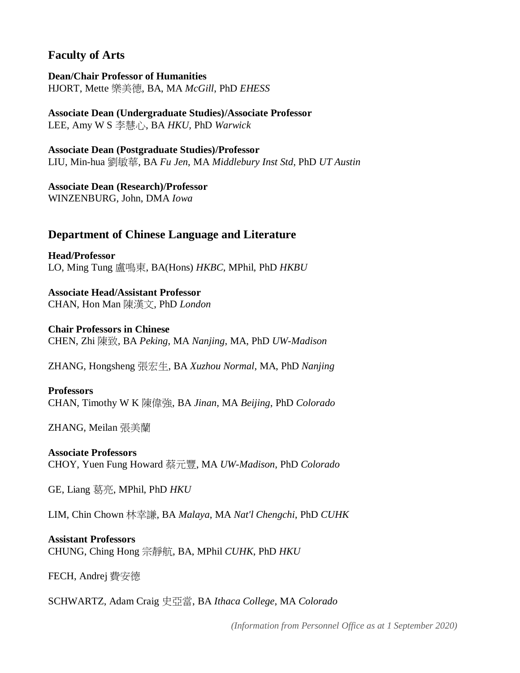### **Faculty of Arts**

**Dean/Chair Professor of Humanities** HJORT, Mette 樂美德, BA, MA *McGill*, PhD *EHESS*

**Associate Dean (Undergraduate Studies)/Associate Professor** LEE, Amy W S 李慧心, BA *HKU,* PhD *Warwick*

**Associate Dean (Postgraduate Studies)/Professor** LIU, Min-hua 劉敏華, BA *Fu Jen*, MA *Middlebury Inst Std*, PhD *UT Austin*

**Associate Dean (Research)/Professor** WINZENBURG, John, DMA *Iowa*

### **Department of Chinese Language and Literature**

**Head/Professor** LO, Ming Tung 盧鳴東, BA(Hons) *HKBC*, MPhil, PhD *HKBU*

**Associate Head/Assistant Professor** CHAN, Hon Man 陳漢文, PhD *London*

**Chair Professors in Chinese** CHEN, Zhi 陳致, BA *Peking*, MA *Nanjing*, MA, PhD *UW-Madison*

ZHANG, Hongsheng 張宏生, BA *Xuzhou Normal*, MA, PhD *Nanjing*

#### **Professors**

CHAN, Timothy W K 陳偉強, BA *Jinan*, MA *Beijing*, PhD *Colorado*

ZHANG, Meilan 張美蘭

## **Associate Professors**

CHOY, Yuen Fung Howard 蔡元豐, MA *UW-Madison*, PhD *Colorado*

GE, Liang 葛亮, MPhil, PhD *HKU*

LIM, Chin Chown 林幸謙, BA *Malaya*, MA *Nat'l Chengchi*, PhD *CUHK*

#### **Assistant Professors**

CHUNG, Ching Hong 宗靜航, BA, MPhil *CUHK*, PhD *HKU*

FECH, Andrej 費安德

SCHWARTZ, Adam Craig 史亞當, BA *Ithaca College*, MA *Colorado*

*(Information from Personnel Office as at 1 September 2020)*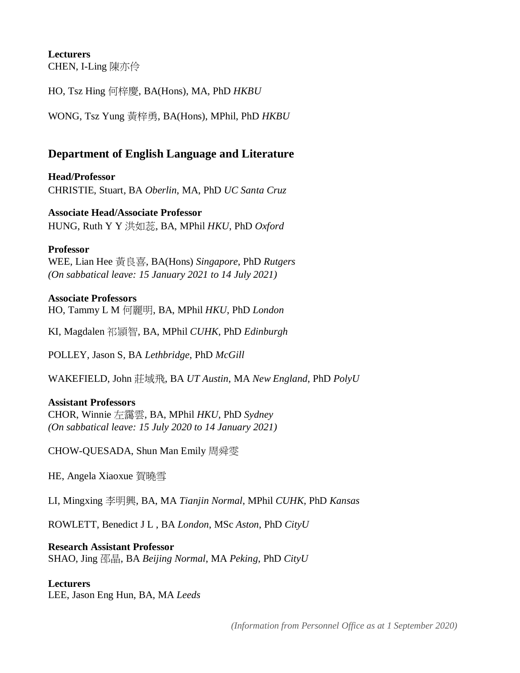# **Lecturers**

CHEN, I-Ling 陳亦伶

HO, Tsz Hing 何梓慶, BA(Hons), MA, PhD *HKBU*

WONG, Tsz Yung 黃梓勇, BA(Hons), MPhil, PhD *HKBU*

### **Department of English Language and Literature**

**Head/Professor** CHRISTIE, Stuart, BA *Oberlin*, MA, PhD *UC Santa Cruz*

**Associate Head/Associate Professor** HUNG, Ruth Y Y 洪如蕊, BA, MPhil *HKU*, PhD *Oxford*

#### **Professor**

WEE, Lian Hee 黃良喜, BA(Hons) *Singapore*, PhD *Rutgers (On sabbatical leave: 15 January 2021 to 14 July 2021)*

### **Associate Professors**

HO, Tammy L M 何麗明, BA, MPhil *HKU*, PhD *London*

KI, Magdalen 祁頴智, BA, MPhil *CUHK*, PhD *Edinburgh*

POLLEY, Jason S, BA *Lethbridge*, PhD *McGill*

WAKEFIELD, John 莊域飛, BA *UT Austin*, MA *New England*, PhD *PolyU*

#### **Assistant Professors**

CHOR, Winnie 左靄雲, BA, MPhil *HKU*, PhD *Sydney (On sabbatical leave: 15 July 2020 to 14 January 2021)*

CHOW-QUESADA, Shun Man Emily 周舜雯

HE, Angela Xiaoxue 賀曉雪

LI, Mingxing 李明興, BA, MA *Tianjin Normal*, MPhil *CUHK*, PhD *Kansas*

ROWLETT, Benedict J L , BA *London*, MSc *Aston*, PhD *CityU*

### **Research Assistant Professor**

SHAO, Jing 邵晶, BA *Beijing Normal*, MA *Peking*, PhD *CityU*

#### **Lecturers**

LEE, Jason Eng Hun, BA, MA *Leeds*

*(Information from Personnel Office as at 1 September 2020)*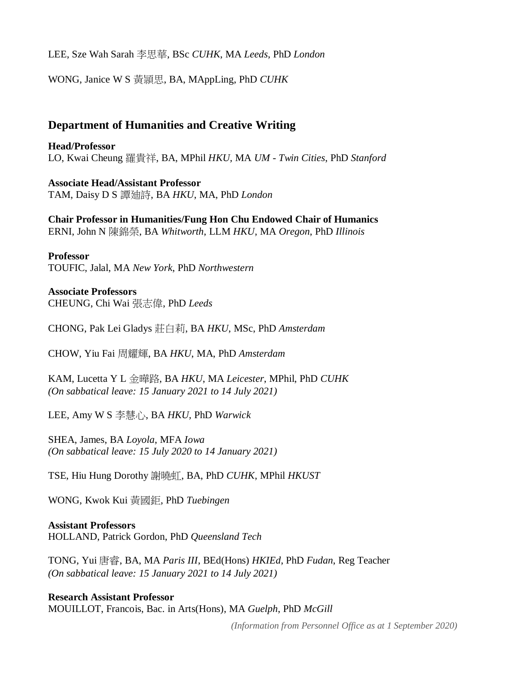LEE, Sze Wah Sarah 李思華, BSc *CUHK*, MA *Leeds*, PhD *London*

WONG, Janice W S 黃頴思, BA, MAppLing, PhD *CUHK*

### **Department of Humanities and Creative Writing**

**Head/Professor** LO, Kwai Cheung 羅貴祥, BA, MPhil *HKU,* MA *UM - Twin Cities*, PhD *Stanford*

**Associate Head/Assistant Professor** TAM, Daisy D S 譚廸詩, BA *HKU*, MA, PhD *London*

**Chair Professor in Humanities/Fung Hon Chu Endowed Chair of Humanics** ERNI, John N 陳錦榮, BA *Whitworth*, LLM *HKU*, MA *Oregon*, PhD *Illinois*

**Professor** TOUFIC, Jalal, MA *New York*, PhD *Northwestern*

**Associate Professors** CHEUNG, Chi Wai 張志偉, PhD *Leeds*

CHONG, Pak Lei Gladys 莊白莉, BA *HKU*, MSc, PhD *Amsterdam*

CHOW, Yiu Fai 周耀輝, BA *HKU*, MA, PhD *Amsterdam*

KAM, Lucetta Y L 金曄路, BA *HKU*, MA *Leicester*, MPhil, PhD *CUHK (On sabbatical leave: 15 January 2021 to 14 July 2021)*

LEE, Amy W S 李慧心, BA *HKU,* PhD *Warwick*

SHEA, James, BA *Loyola*, MFA *Iowa (On sabbatical leave: 15 July 2020 to 14 January 2021)*

TSE, Hiu Hung Dorothy 謝曉虹, BA, PhD *CUHK*, MPhil *HKUST*

WONG, Kwok Kui 黃國鉅, PhD *Tuebingen*

**Assistant Professors** HOLLAND, Patrick Gordon, PhD *Queensland Tech*

TONG, Yui 唐睿, BA, MA *Paris III*, BEd(Hons) *HKIEd*, PhD *Fudan*, Reg Teacher *(On sabbatical leave: 15 January 2021 to 14 July 2021)*

**Research Assistant Professor** MOUILLOT, Francois, Bac. in Arts(Hons), MA *Guelph*, PhD *McGill*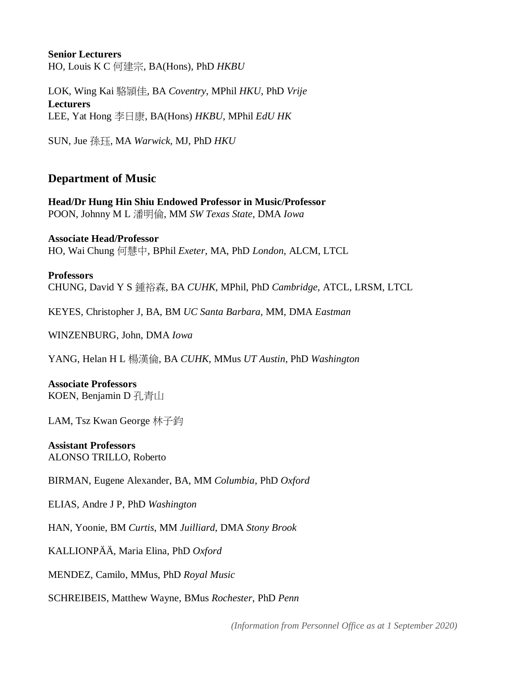### **Senior Lecturers** HO, Louis K C 何建宗, BA(Hons), PhD *HKBU*

LOK, Wing Kai 駱頴佳, BA *Coventry*, MPhil *HKU*, PhD *Vrije* **Lecturers** LEE, Yat Hong 李日康, BA(Hons) *HKBU*, MPhil *EdU HK*

SUN, Jue 孫珏, MA *Warwick*, MJ, PhD *HKU*

### **Department of Music**

#### **Head/Dr Hung Hin Shiu Endowed Professor in Music/Professor** POON, Johnny M L 潘明倫, MM *SW Texas State*, DMA *Iowa*

**Associate Head/Professor** HO, Wai Chung 何慧中, BPhil *Exeter*, MA, PhD *London*, ALCM, LTCL

**Professors** CHUNG, David Y S 鍾裕森, BA *CUHK*, MPhil, PhD *Cambridge*, ATCL, LRSM, LTCL

KEYES, Christopher J, BA, BM *UC Santa Barbara*, MM, DMA *Eastman*

WINZENBURG, John, DMA *Iowa*

YANG, Helan H L 楊漢倫, BA *CUHK*, MMus *UT Austin*, PhD *Washington*

# **Associate Professors**

KOEN, Benjamin D 孔青山

LAM, Tsz Kwan George 林子鈞

**Assistant Professors** ALONSO TRILLO, Roberto

BIRMAN, Eugene Alexander, BA, MM *Columbia*, PhD *Oxford*

ELIAS, Andre J P, PhD *Washington*

HAN, Yoonie, BM *Curtis*, MM *Juilliard*, DMA *Stony Brook*

KALLIONPÄ Ä , Maria Elina, PhD *Oxford*

MENDEZ, Camilo, MMus, PhD *Royal Music*

SCHREIBEIS, Matthew Wayne, BMus *Rochester*, PhD *Penn*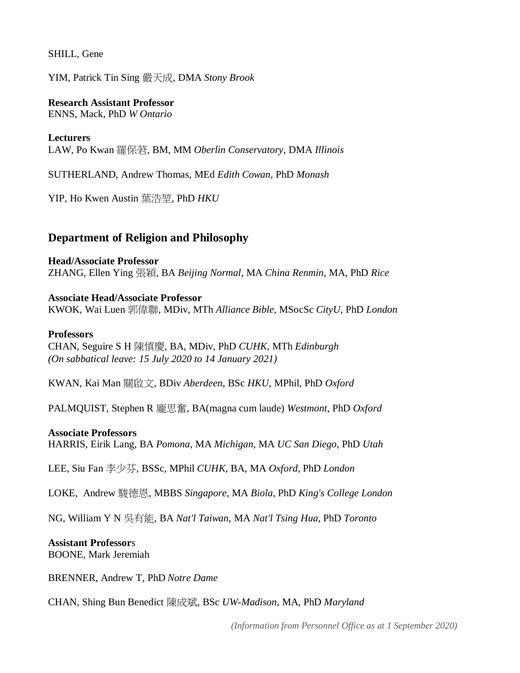SHILL, Gene

YIM, Patrick Tin Sing 嚴天成, DMA *Stony Brook*

**Research Assistant Professor**

ENNS, Mack, PhD *W Ontario*

**Lecturers** LAW, Po Kwan 羅保莙, BM, MM *Oberlin Conservatory*, DMA *Illinois*

SUTHERLAND, Andrew Thomas, MEd *Edith Cowan,* PhD *Monash*

YIP, Ho Kwen Austin 葉浩堃, PhD *HKU*

### **Department of Religion and Philosophy**

**Head/Associate Professor** ZHANG, Ellen Ying 張穎, BA *Beijing Normal*, MA *China Renmin,* MA, PhD *Rice*

**Associate Head/Associate Professor** KWOK, Wai Luen 郭偉聯, MDiv, MTh *Alliance Bible,* MSocSc *CityU*, PhD *London*

#### **Professors**

CHAN, Seguire S H 陳慎慶, BA, MDiv, PhD *CUHK*, MTh *Edinburgh (On sabbatical leave: 15 July 2020 to 14 January 2021)*

KWAN, Kai Man 關啟文, BDiv *Aberdeen*, BSc *HKU*, MPhil, PhD *Oxford*

PALMQUIST, Stephen R 龐思奮, BA(magna cum laude) *Westmont*, PhD *Oxford*

#### **Associate Professors**

HARRIS, Eirik Lang, BA *Pomona*, MA *Michigan*, MA *UC San Diego*, PhD *Utah*

LEE, Siu Fan 李少芬, BSSc, MPhil *CUHK*, BA, MA *Oxford*, PhD *London*

LOKE, Andrew 駿德恩, MBBS *Singapore*, MA *Biola*, PhD *King's College London*

NG, William Y N 吳有能, BA *Nat'l Taiwan*, MA *Nat'l Tsing Hua*, PhD *Toronto*

### **Assistant Professor**s

BOONE, Mark Jeremiah

BRENNER, Andrew T, PhD *Notre Dame*

CHAN, Shing Bun Benedict 陳成斌, BSc *UW-Madison*, MA, PhD *Maryland*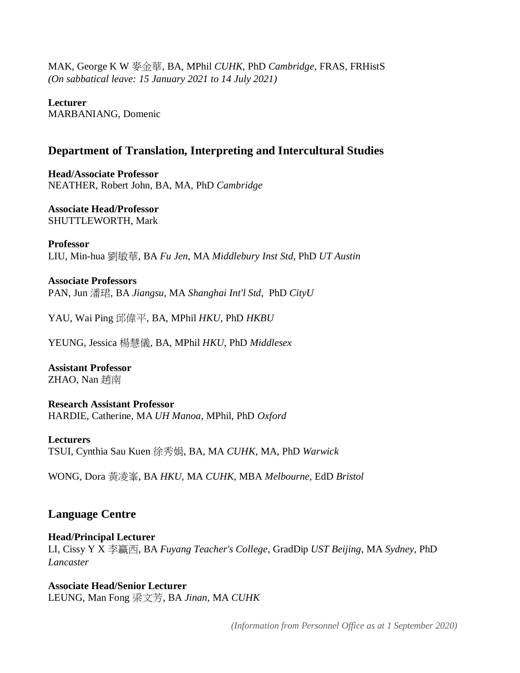MAK, George K W 麥金華, BA, MPhil *CUHK*, PhD *Cambridge*, FRAS, FRHistS *(On sabbatical leave: 15 January 2021 to 14 July 2021)*

**Lecturer** MARBANIANG, Domenic

### **Department of Translation, Interpreting and Intercultural Studies**

**Head/Associate Professor** NEATHER, Robert John, BA, MA, PhD *Cambridge*

**Associate Head/Professor** SHUTTLEWORTH, Mark

**Professor** LIU, Min-hua 劉敏華, BA *Fu Jen*, MA *Middlebury Inst Std*, PhD *UT Austin*

**Associate Professors** PAN, Jun 潘珺, BA *Jiangsu*, MA *Shanghai Int'l Std*, PhD *CityU*

YAU, Wai Ping 邱偉平, BA, MPhil *HKU*, PhD *HKBU*

YEUNG, Jessica 楊慧儀, BA, MPhil *HKU*, PhD *Middlesex*

**Assistant Professor** ZHAO, Nan 趙南

**Research Assistant Professor** HARDIE, Catherine, MA *UH Manoa*, MPhil, PhD *Oxford*

**Lecturers** TSUI, Cynthia Sau Kuen 徐秀娟, BA, MA *CUHK*, MA, PhD *Warwick*

WONG, Dora 黃凌峯, BA *HKU*, MA *CUHK*, MBA *Melbourne*, EdD *Bristol*

### **Language Centre**

### **Head/Principal Lecturer**

LI, Cissy Y X 李贏西, BA *Fuyang Teacher's College*, GradDip *UST Beijing*, MA *Sydney*, PhD *Lancaster*

**Associate Head/Senior Lecturer** LEUNG, Man Fong 梁文芳, BA *Jinan*, MA *CUHK*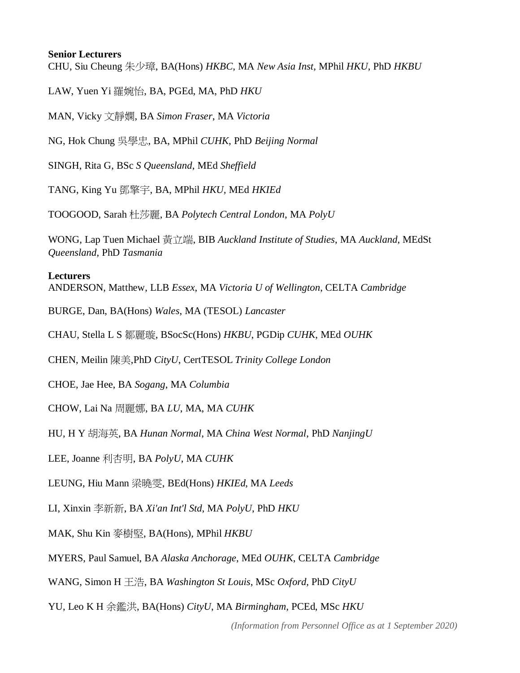### **Senior Lecturers**

CHU, Siu Cheung 朱少璋, BA(Hons) *HKBC*, MA *New Asia Inst*, MPhil *HKU*, PhD *HKBU*

LAW, Yuen Yi 羅婉怡, BA, PGEd, MA, PhD *HKU*

MAN, Vicky 文靜嫻, BA *Simon Fraser*, MA *Victoria*

NG, Hok Chung 吳學忠, BA, MPhil *CUHK*, PhD *Beijing Normal*

SINGH, Rita G, BSc *S Queensland*, MEd *Sheffield*

TANG, King Yu 鄧擎宇, BA, MPhil *HKU,* MEd *HKIEd*

TOOGOOD, Sarah 杜莎麗, BA *Polytech Central London*, MA *PolyU*

WONG, Lap Tuen Michael 黃立端, BIB *Auckland Institute of Studies*, MA *Auckland*, MEdSt *Queensland*, PhD *Tasmania*

### **Lecturers**

ANDERSON, Matthew, LLB *Essex*, MA *Victoria U of Wellington*, CELTA *Cambridge*

BURGE, Dan, BA(Hons) *Wales*, MA (TESOL) *Lancaster*

CHAU, Stella L S 鄒麗璇, BSocSc(Hons) *HKBU*, PGDip *CUHK*, MEd *OUHK*

CHEN, Meilin 陳美,PhD *CityU*, CertTESOL *Trinity College London*

CHOE, Jae Hee, BA *Sogang*, MA *Columbia*

CHOW, Lai Na 周麗娜, BA *LU*, MA, MA *CUHK*

HU, H Y 胡海英, BA *Hunan Normal*, MA *China West Normal*, PhD *NanjingU*

LEE, Joanne 利杏明, BA *PolyU*, MA *CUHK*

LEUNG, Hiu Mann 梁曉雯, BEd(Hons) *HKIEd*, MA *Leeds*

LI, Xinxin 李新新, BA *Xi'an Int'l Std*, MA *PolyU*, PhD *HKU*

MAK, Shu Kin 麥樹堅, BA(Hons)*,* MPhil *HKBU*

MYERS, Paul Samuel, BA *Alaska Anchorage*, MEd *OUHK*, CELTA *Cambridge*

WANG, Simon H 王浩, BA *Washington St Louis*, MSc *Oxford*, PhD *CityU*

YU, Leo K H 余鑑洪, BA(Hons) *CityU*, MA *Birmingham,* PCEd, MSc *HKU*

*(Information from Personnel Office as at 1 September 2020)*